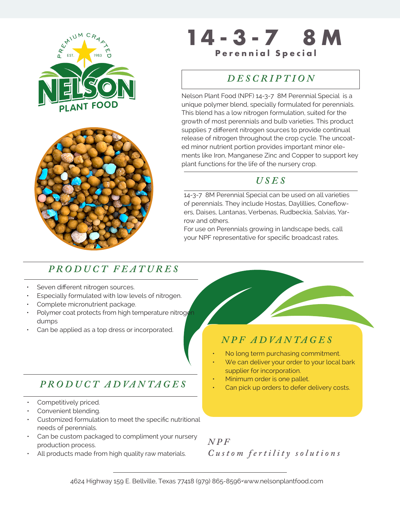



## **THE SECOND PERSONAL PROPERTY OF SPECIAL SPECIAL SPECIAL SPECIAL SPECIAL SPECIAL SPECIAL SPECIAL SPECIAL SPECIAL SPECIAL SPECIAL SPECIAL SPECIAL SPECIAL SPECIAL SPECIAL SPECIAL SPECIAL SPECIAL SPECIAL SPECIAL SPECIAL SPECI 14-3-7 8M**

### *MEDIA KIT • 2017 DESCRIPTION*

Nelson Plant Food (NPF) 14-3-7 8M Perennial Special is a unique polymer blend, specially formulated for perennials. This blend has a low nitrogen formulation, suited for the growth of most perennials and bulb varieties. This product supplies 7 different nitrogen sources to provide continual release of nitrogen throughout the crop cycle. The uncoated minor nutrient portion provides important minor elements like Iron, Manganese Zinc and Copper to support key plant functions for the life of the nursery crop.

#### *USES*

14-3-7 8M Perennial Special can be used on all varieties of perennials. They include Hostas, Daylillies, Coneflowers, Daises, Lantanas, Verbenas, Rudbeckia, Salvias, Yarrow and others.

For use on Perennials growing in landscape beds, call your NPF representative for specific broadcast rates.

#### *PRODUCT FEATURES*

- Seven different nitrogen sources.
- Especially formulated with low levels of nitrogen.
- Complete micronutrient package.
- Polymer coat protects from high temperature nitrogen dumps
- Can be applied as a top dress or incorporated.

#### *P RO D U C T A D VA N TA G E S*

- Competitively priced.
- Convenient blending.
- Customized formulation to meet the specific nutritional needs of perennials.
- Can be custom packaged to compliment your nursery production process.
- All products made from high quality raw materials.

#### *N P F A D VA N TA G E S*

- No long term purchasing commitment.
- We can deliver your order to your local bark supplier for incorporation.
- Minimum order is one pallet.
- Can pick up orders to defer delivery costs.
- *N P F Custom fertility solutions*